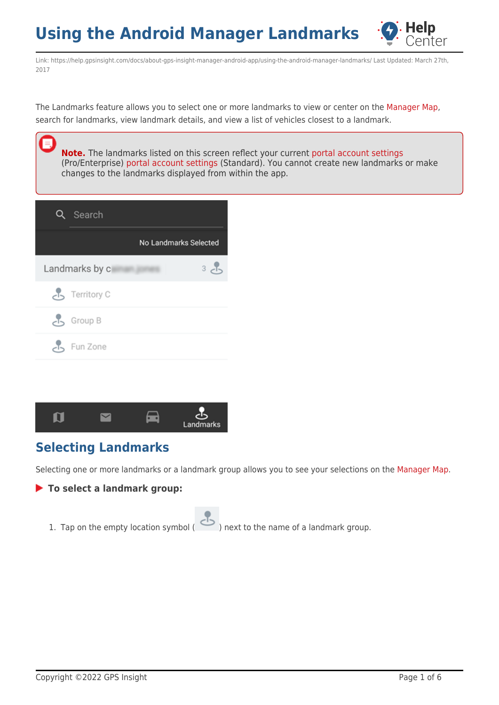

Link: https://help.gpsinsight.com/docs/about-gps-insight-manager-android-app/using-the-android-manager-landmarks/ Last Updated: March 27th, 2017

The Landmarks feature allows you to select one or more landmarks to view or center on the [Manager Map,](https://help.gpsinsight.com/docs/about-gps-insight-manager-android-app/using-the-android-manager-map/) search for landmarks, view landmark details, and view a list of vehicles closest to a landmark.

**Note.** The landmarks listed on this screen reflect your current [portal account settings](https://help.gpsinsight.com/docs/about-landmarks/) (Pro/Enterprise) [portal account settings](https://help.gpsinsight.com/docs/landmarks/) (Standard). You cannot create new landmarks or make changes to the landmarks displayed from within the app.

| Search         |                       |
|----------------|-----------------------|
|                | No Landmarks Selected |
| Landmarks by c | 3c <sub>b</sub>       |
| Territory C    |                       |
| Group B        |                       |
| Fun Zone       |                       |



## **Selecting Landmarks**

Selecting one or more landmarks or a landmark group allows you to see your selections on the [Manager Map](https://help.gpsinsight.com/docs/about-gps-insight-manager-android-app/using-the-android-manager-map/).

### **To select a landmark group:**

1. Tap on the empty location symbol ( ) next to the name of a landmark group.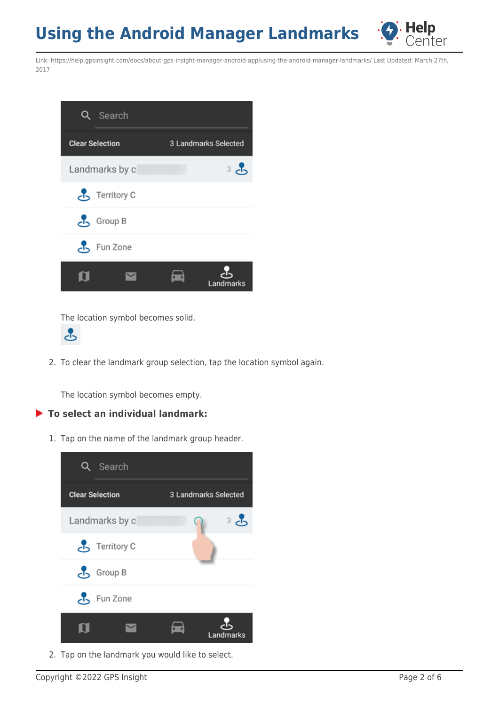

Link: https://help.gpsinsight.com/docs/about-gps-insight-manager-android-app/using-the-android-manager-landmarks/ Last Updated: March 27th, 2017



The location symbol becomes solid.



2. To clear the landmark group selection, tap the location symbol again.

The location symbol becomes empty.

### **To select an individual landmark:**

1. Tap on the name of the landmark group header.



2. Tap on the landmark you would like to select.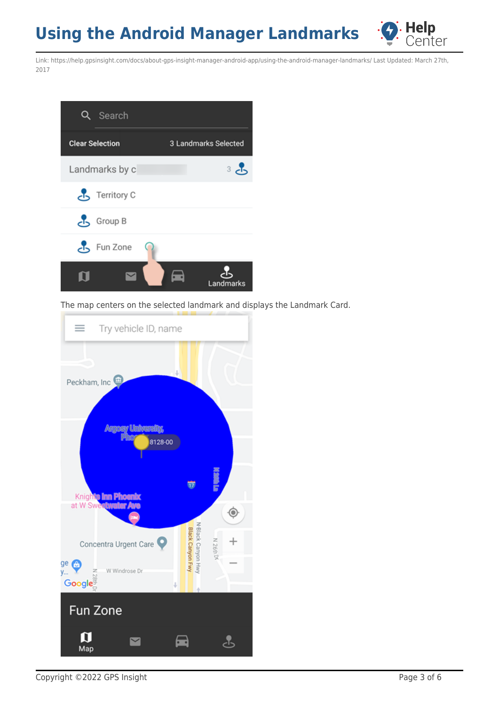

Link: https://help.gpsinsight.com/docs/about-gps-insight-manager-android-app/using-the-android-manager-landmarks/ Last Updated: March 27th, 2017



The map centers on the selected landmark and displays the Landmark Card.

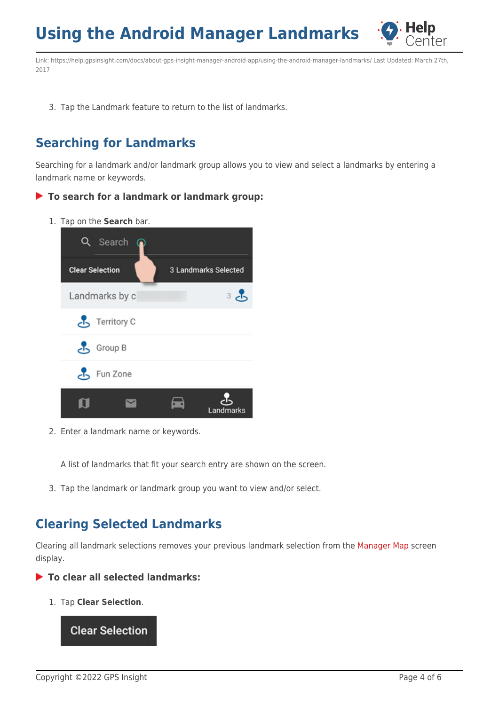

Link: https://help.gpsinsight.com/docs/about-gps-insight-manager-android-app/using-the-android-manager-landmarks/ Last Updated: March 27th, 2017

3. Tap the Landmark feature to return to the list of landmarks.

## **Searching for Landmarks**

Searching for a landmark and/or landmark group allows you to view and select a landmarks by entering a landmark name or keywords.

- **To search for a landmark or landmark group:**
	- 1. Tap on the **Search** bar.



2. Enter a landmark name or keywords.

A list of landmarks that fit your search entry are shown on the screen.

3. Tap the landmark or landmark group you want to view and/or select.

## **Clearing Selected Landmarks**

Clearing all landmark selections removes your previous landmark selection from the [Manager Map](https://help.gpsinsight.com/docs/about-gps-insight-manager-android-app/using-the-android-manager-map/) screen display.

**To clear all selected landmarks:**

1. Tap **Clear Selection**.

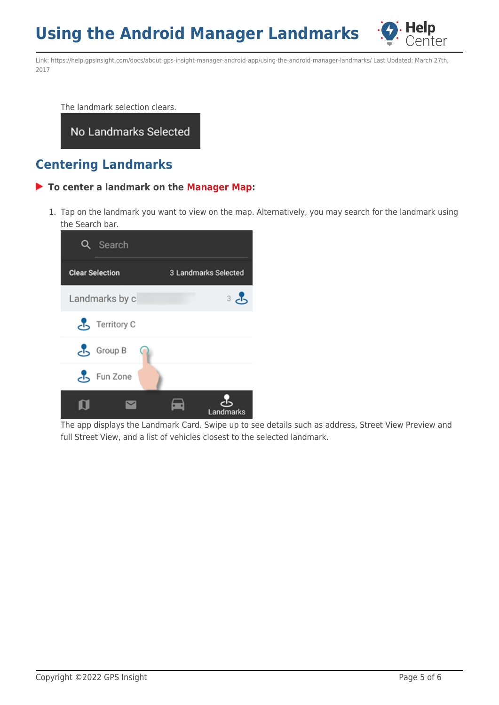

Link: https://help.gpsinsight.com/docs/about-gps-insight-manager-android-app/using-the-android-manager-landmarks/ Last Updated: March 27th, 2017

The landmark selection clears.

### No Landmarks Selected

### **Centering Landmarks**

#### **To center a landmark on the [Manager Map:](https://help.gpsinsight.com/docs/about-gps-insight-manager-android-app/using-the-android-manager-map/)**

1. Tap on the landmark you want to view on the map. Alternatively, you may search for the landmark using the Search bar.



The app displays the Landmark Card. Swipe up to see details such as address, Street View Preview and full Street View, and a list of vehicles closest to the selected landmark.